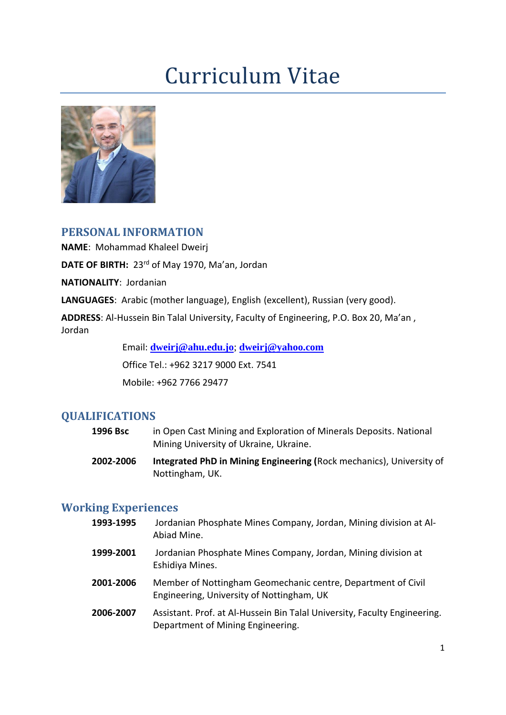# Curriculum Vitae



### **PERSONAL INFORMATION**

**NAME**: Mohammad Khaleel Dweirj

DATE OF BIRTH: 23<sup>rd</sup> of May 1970, Ma'an, Jordan

**NATIONALITY**: Jordanian

**LANGUAGES**: Arabic (mother language), English (excellent), Russian (very good).

**ADDRESS**: Al-Hussein Bin Talal University, Faculty of Engineering, P.O. Box 20, Ma'an , Jordan

Email: **[dweirj@ahu.edu.jo](mailto:dweirj@ahu.edu.jo)**; **[dweirj@yahoo.com](mailto:dweirj@yahoo.com)**

Office Tel.: +962 3217 9000 Ext. 7541

Mobile: +962 7766 29477

#### **QUALIFICATIONS**

- **1996 Bsc** in Open Cast Mining and Exploration of Minerals Deposits. National Mining University of Ukraine, Ukraine.
- **2002-2006 Integrated PhD in Mining Engineering (**Rock mechanics), University of Nottingham, UK.

#### **Working Experiences**

- **1993-1995** Jordanian Phosphate Mines Company, Jordan, Mining division at Al-Abiad Mine.
- **1999-2001** Jordanian Phosphate Mines Company, Jordan, Mining division at Eshidiya Mines.
- **2001-2006** Member of Nottingham Geomechanic centre, Department of Civil Engineering, University of Nottingham, UK
- **2006-2007** Assistant. Prof. at Al-Hussein Bin Talal University, Faculty Engineering. Department of Mining Engineering.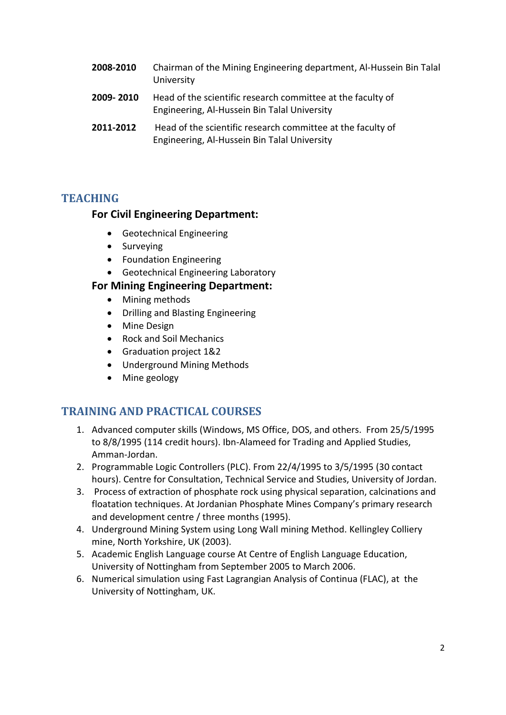- **2008-2010** Chairman of the Mining Engineering department, Al-Hussein Bin Talal University
- **2009- 2010** Head of the scientific research committee at the faculty of Engineering, Al-Hussein Bin Talal University
- **2011-2012** Head of the scientific research committee at the faculty of Engineering, Al-Hussein Bin Talal University

## **TEACHING**

### **For Civil Engineering Department:**

- Geotechnical Engineering
- Surveying
- Foundation Engineering
- Geotechnical Engineering Laboratory

### **For Mining Engineering Department:**

- Mining methods
- Drilling and Blasting Engineering
- Mine Design
- Rock and Soil Mechanics
- Graduation project 1&2
- Underground Mining Methods
- Mine geology

## **TRAINING AND PRACTICAL COURSES**

- 1. Advanced computer skills (Windows, MS Office, DOS, and others. From 25/5/1995 to 8/8/1995 (114 credit hours). Ibn-Alameed for Trading and Applied Studies, Amman-Jordan.
- 2. Programmable Logic Controllers (PLC). From 22/4/1995 to 3/5/1995 (30 contact hours). Centre for Consultation, Technical Service and Studies, University of Jordan.
- 3. Process of extraction of phosphate rock using physical separation, calcinations and floatation techniques. At Jordanian Phosphate Mines Company's primary research and development centre / three months (1995).
- 4. Underground Mining System using Long Wall mining Method. Kellingley Colliery mine, North Yorkshire, UK (2003).
- 5. Academic English Language course At Centre of English Language Education, University of Nottingham from September 2005 to March 2006.
- 6. Numerical simulation using Fast Lagrangian Analysis of Continua (FLAC), at the University of Nottingham, UK.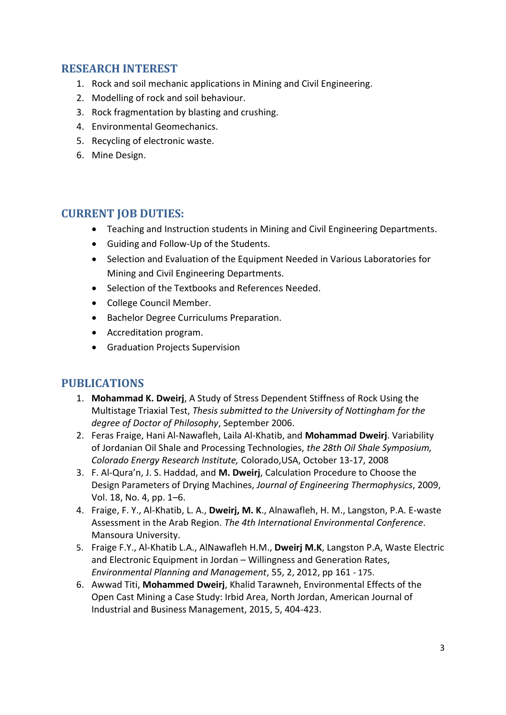## **RESEARCH INTEREST**

- 1. Rock and soil mechanic applications in Mining and Civil Engineering.
- 2. Modelling of rock and soil behaviour.
- 3. Rock fragmentation by blasting and crushing.
- 4. Environmental Geomechanics.
- 5. Recycling of electronic waste.
- 6. Mine Design.

#### **CURRENT JOB DUTIES:**

- Teaching and Instruction students in Mining and Civil Engineering Departments.
- Guiding and Follow-Up of the Students.
- Selection and Evaluation of the Equipment Needed in Various Laboratories for Mining and Civil Engineering Departments.
- Selection of the Textbooks and References Needed.
- College Council Member.
- Bachelor Degree Curriculums Preparation.
- Accreditation program.
- Graduation Projects Supervision

#### **PUBLICATIONS**

- 1. **Mohammad K. Dweirj**, A Study of Stress Dependent Stiffness of Rock Using the Multistage Triaxial Test, *Thesis submitted to the University of Nottingham for the degree of Doctor of Philosophy*, September 2006.
- 2. Feras Fraige, Hani Al-Nawafleh, Laila Al-Khatib, and **Mohammad Dweirj**. Variability of Jordanian Oil Shale and Processing Technologies, *the 28th Oil Shale Symposium, Colorado Energy Research Institute,* Colorado,USA, October 13-17, 2008
- 3. F. Al-Qura'n, J. S. Haddad, and **M. Dweirj**, Calculation Procedure to Choose the Design Parameters of Drying Machines, *Journal of Engineering Thermophysics*, 2009, Vol. 18, No. 4, pp. 1–6.
- 4. Fraige, F. Y., Al-Khatib, L. A., **Dweirj, M. K**., Alnawafleh, H. M., Langston, P.A. E-waste Assessment in the Arab Region. *The 4th International Environmental Conference*. Mansoura University.
- 5. Fraige F.Y., Al-Khatib L.A., AlNawafleh H.M., **Dweirj M.K**, Langston P.A, Waste Electric and Electronic Equipment in Jordan – Willingness and Generation Rates, *Environmental Planning and Management*, 55, 2, 2012, pp 161 - 175.
- 6. Awwad Titi, **Mohammed Dweirj**, Khalid Tarawneh, Environmental Effects of the Open Cast Mining a Case Study: Irbid Area, North Jordan, American Journal of Industrial and Business Management, 2015, 5, 404-423.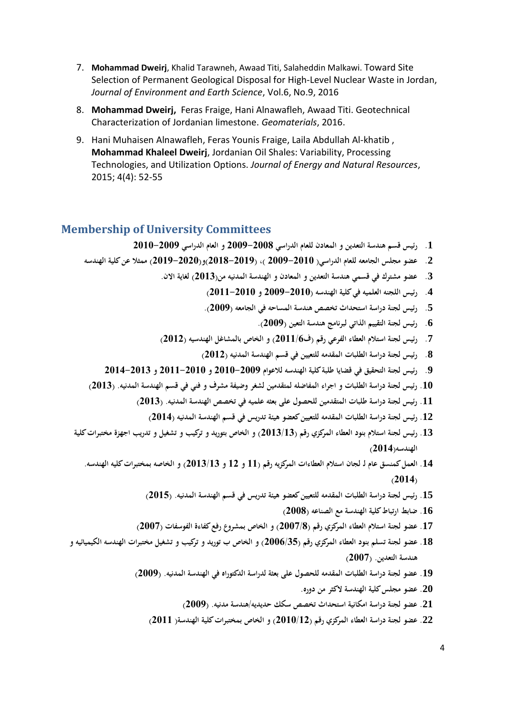- 7. **Mohammad Dweirj**, Khalid Tarawneh, Awaad Titi, Salaheddin Malkawi. Toward Site Selection of Permanent Geological Disposal for High-Level Nuclear Waste in Jordan, *Journal of Environment and Earth Science*, Vol.6, No.9, 2016
- 8. **Mohammad Dweirj,** Feras Fraige, Hani Alnawafleh, Awaad Titi. Geotechnical Characterization of Jordanian limestone. *Geomaterials*, 2016.
- 9. Hani Muhaisen Alnawafleh, Feras Younis Fraige, Laila Abdullah Al-khatib , **Mohammad Khaleel Dweirj**, Jordanian Oil Shales: Variability, Processing Technologies, and Utilization Options. *Journal of Energy and Natural Resources*, 2015; 4(4): 52-55

#### **Membership of University Committees**

- **.1 رئيس قسم هندسة التعدين و المعادن للعام الدراسي 2009-2008 و العام الدراسي 2010-2009**
- **.2 عضو مجلس الجامعه للعام الدراسي) 2009-2010 (، )2018-2019(و)2019-2020( ممثال عن كلية الهندسه** 
	- **.3 عضو مشترك في قسمي هندسة التعدين و المعادن و الهندسة المدنيه من) 2013( لغاية االن.** 
		- **.4 رئيس اللجنه العلميه في كلية الهندسه )2009-2010 و 2011-2010(**
		- **.5 رئيس لجنة دراسة استحداث تخصص هندسة المساحه في الجامعه )2009(.**
			- **.6 رئيس لجنة التقييم الذاتي لبرنامج هندسة التعين )2009(.**
	- **.7 رئيس لجنة استالم العطاء الفرعي رقم )ف2011/6( و الخاص بالمشاغل الهندسيه )2012(** 
		- **.8 رئيس لجنة دراسة الطلبات المقدمه للتعيين في قسم الهندسة المدنيه )2012(**
	- **.9 رئيس لجنة التحقيق في قضايا طلبة كلية الهندسه ل العوام 2010-2009 و 2011-2010 و 2014-2013**
- **.10 رئيس لجنة دراسة الطلبات و اجراء المفاضله لمتقدمين لشغر وضيفة مشرف و فني في قسم الهندسة المدنيه. )2013(**
	- **.11 رئيس لجنة دراسة طلبات المتقدمين للحصول على بعثه علميه في تخصص الهندسة المدنيه. )2013(**
		- **.12 رئيس لجنة دراسة الطلبات ال مقدمه للتعيين كعضو هيئة تدريس في قسم الهندسة المدنيه )2014(**
- **.13 رئيس لجنة استالم بنود العطاء المركزي رقم )2013/13( و الخاص بتوريد و تركيب و تشغيل و تدريب اجهزة مختبرات كلية الهندسه)2014(** 
	- **.14 العمل كمنسق عام لـ لجان استالم العطاءات المركزيه رقم )11 و 12 و 2013/13( و الخاصه بمختبرات كليه الهندسه. )2014(**
		- **.15 رئيس لجنة دراسة الطلبات المقدمه للتعيين كعضو هيئة تدريس في قسم الهندسة المدنيه. )2015(** 
			- **.16 ضابط ارتباط كلية الهندسة مع الصناعه )2008(**
		- **.17 عضو لجنة استالم العطاء المركزي رقم )2007/8( و الخاص بمشروع رفع كفاءة الفوسفات )2007(**
- **.18 عضو لجنة تسلم بنود العطاء المركزي رقم )2006/35( و الخاص ب توريد و تركيب و تشغيل مختبرات الهندسه الكيميائيه و هندسة التعدين. )2007(** 
	- **.19 عضو لجنة دراسة الطلبات المقدمه للحصول على بعثة لدراسة الدكتوراه في الهندسة المدنيه. )2009(** 
		- **.20 عضو مجلس كلية الهندسة الكثر من دوره.**
		- **.21 عضو لجنة دراسة امكانية استحداث تخصص سكك حديديه/هندسة مدنيه. )2009(**
		- **.22 عضو لجنة دراسة العطاء المركزي رقم )2010/12( و الخاص بمختبرات كلية الهندسة) 2011(**